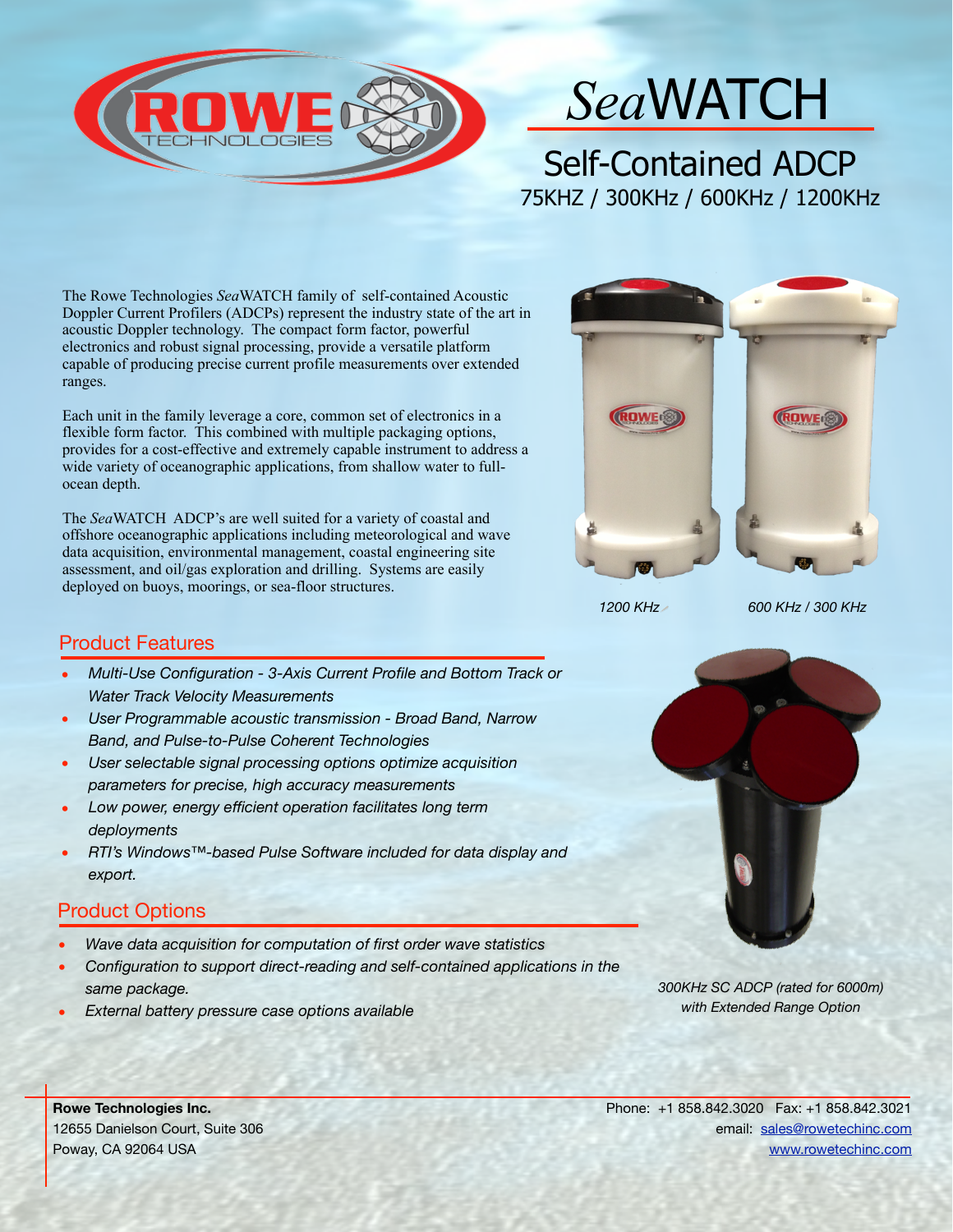

## *Sea*WATCH

Self-Contained ADCP 75KHZ / 300KHz / 600KHz / 1200KHz

The Rowe Technologies *Sea*WATCH family of self-contained Acoustic Doppler Current Profilers (ADCPs) represent the industry state of the art in acoustic Doppler technology. The compact form factor, powerful electronics and robust signal processing, provide a versatile platform capable of producing precise current profile measurements over extended ranges.

Each unit in the family leverage a core, common set of electronics in a flexible form factor. This combined with multiple packaging options, provides for a cost-effective and extremely capable instrument to address a wide variety of oceanographic applications, from shallow water to fullocean depth.

The *Sea*WATCH ADCP's are well suited for a variety of coastal and offshore oceanographic applications including meteorological and wave data acquisition, environmental management, coastal engineering site assessment, and oil/gas exploration and drilling. Systems are easily deployed on buoys, moorings, or sea-floor structures.



*1200 KHz 600 KHz / 300 KHz*

## Product Features

- *Multi-Use Configuration 3-Axis Current Profile and Bottom Track or Water Track Velocity Measurements*
- *User Programmable acoustic transmission Broad Band, Narrow Band, and Pulse-to-Pulse Coherent Technologies*
- *User selectable signal processing options optimize acquisition parameters for precise, high accuracy measurements*
- *Low power, energy efficient operation facilitates long term deployments*
- *RTI's Windows™-based Pulse Software included for data display and export.*

## Product Options

- *Wave data acquisition for computation of first order wave statistics*
- *Configuration to support direct-reading and self-contained applications in the same package.*
- *External battery pressure case options available*



*300KHz SC ADCP (rated for 6000m) with Extended Range Option*

**Rowe Technologies Inc.**  12655 Danielson Court, Suite 306 Poway, CA 92064 USA

Phone: +1 858.842.3020 Fax: +1 858.842.3021 email: [sales@rowetechinc.com](mailto:sales@rowetechinc.com) [www.rowetechinc.com](http://www.rowetechinc.com)